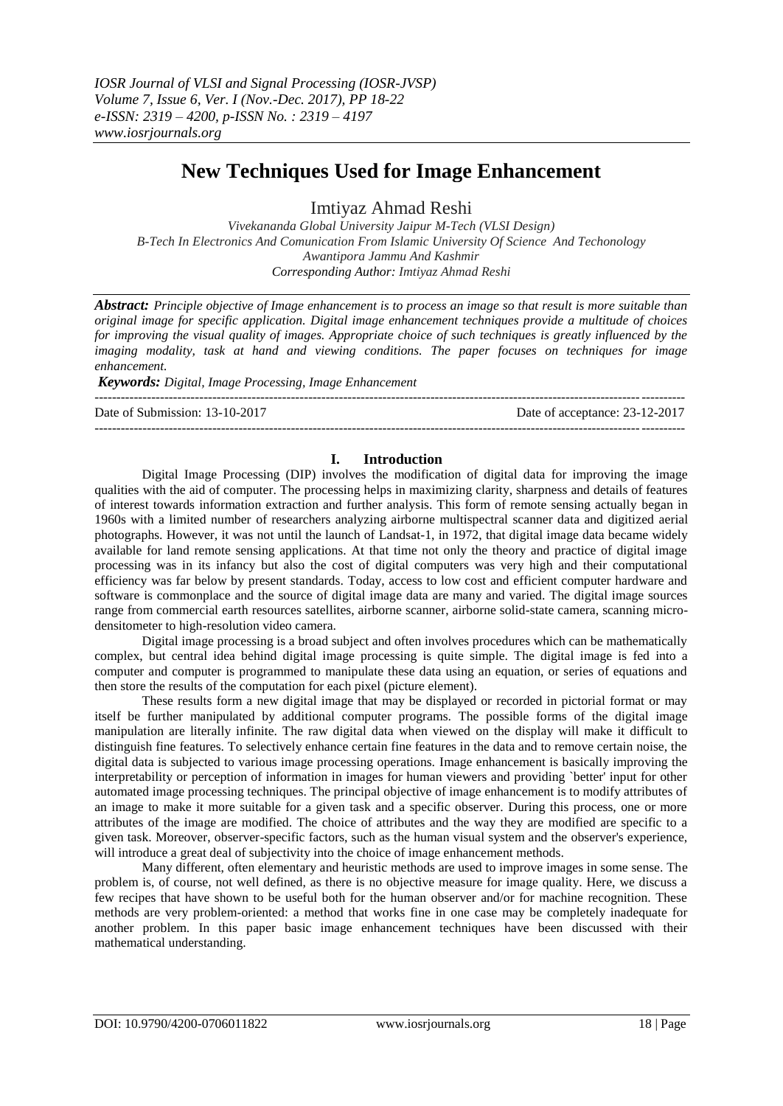# **New Techniques Used for Image Enhancement**

Imtiyaz Ahmad Reshi

*Vivekananda Global University Jaipur M-Tech (VLSI Design) B-Tech In Electronics And Comunication From Islamic University Of Science And Techonology Awantipora Jammu And Kashmir Corresponding Author: Imtiyaz Ahmad Reshi*

*Abstract: Principle objective of Image enhancement is to process an image so that result is more suitable than original image for specific application. Digital image enhancement techniques provide a multitude of choices for improving the visual quality of images. Appropriate choice of such techniques is greatly influenced by the imaging modality, task at hand and viewing conditions. The paper focuses on techniques for image enhancement.*

*Keywords: Digital, Image Processing, Image Enhancement*

--------------------------------------------------------------------------------------------------------------------------------------- Date of Submission: 13-10-2017 Date of acceptance: 23-12-2017 ---------------------------------------------------------------------------------------------------------------------------------------

## **I. Introduction**

Digital Image Processing (DIP) involves the modification of digital data for improving the image qualities with the aid of computer. The processing helps in maximizing clarity, sharpness and details of features of interest towards information extraction and further analysis. This form of remote sensing actually began in 1960s with a limited number of researchers analyzing airborne multispectral scanner data and digitized aerial photographs. However, it was not until the launch of Landsat-1, in 1972, that digital image data became widely available for land remote sensing applications. At that time not only the theory and practice of digital image processing was in its infancy but also the cost of digital computers was very high and their computational efficiency was far below by present standards. Today, access to low cost and efficient computer hardware and software is commonplace and the source of digital image data are many and varied. The digital image sources range from commercial earth resources satellites, airborne scanner, airborne solid-state camera, scanning microdensitometer to high-resolution video camera.

Digital image processing is a broad subject and often involves procedures which can be mathematically complex, but central idea behind digital image processing is quite simple. The digital image is fed into a computer and computer is programmed to manipulate these data using an equation, or series of equations and then store the results of the computation for each pixel (picture element).

These results form a new digital image that may be displayed or recorded in pictorial format or may itself be further manipulated by additional computer programs. The possible forms of the digital image manipulation are literally infinite. The raw digital data when viewed on the display will make it difficult to distinguish fine features. To selectively enhance certain fine features in the data and to remove certain noise, the digital data is subjected to various image processing operations. Image enhancement is basically improving the interpretability or perception of information in images for human viewers and providing `better' input for other automated image processing techniques. The principal objective of image enhancement is to modify attributes of an image to make it more suitable for a given task and a specific observer. During this process, one or more attributes of the image are modified. The choice of attributes and the way they are modified are specific to a given task. Moreover, observer-specific factors, such as the human visual system and the observer's experience, will introduce a great deal of subjectivity into the choice of image enhancement methods.

Many different, often elementary and heuristic methods are used to improve images in some sense. The problem is, of course, not well defined, as there is no objective measure for image quality. Here, we discuss a few recipes that have shown to be useful both for the human observer and/or for machine recognition. These methods are very problem-oriented: a method that works fine in one case may be completely inadequate for another problem. In this paper basic image enhancement techniques have been discussed with their mathematical understanding.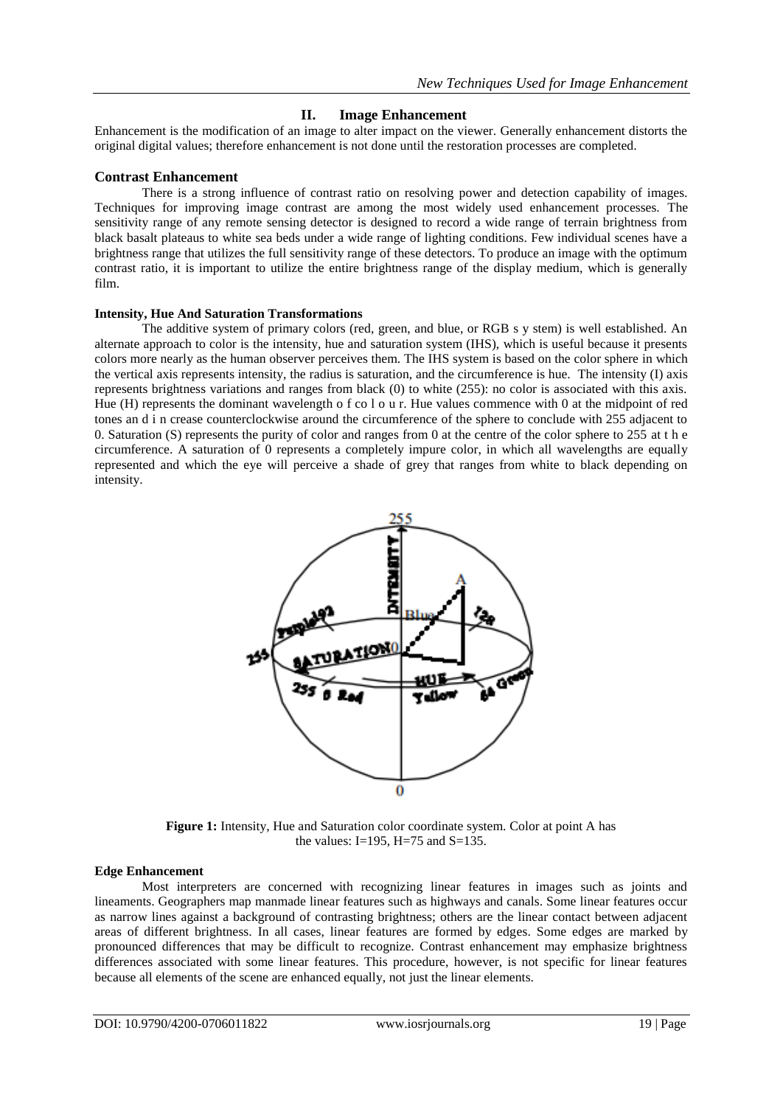# **II. Image Enhancement**

Enhancement is the modification of an image to alter impact on the viewer. Generally enhancement distorts the original digital values; therefore enhancement is not done until the restoration processes are completed.

## **Contrast Enhancement**

There is a strong influence of contrast ratio on resolving power and detection capability of images. Techniques for improving image contrast are among the most widely used enhancement processes. The sensitivity range of any remote sensing detector is designed to record a wide range of terrain brightness from black basalt plateaus to white sea beds under a wide range of lighting conditions. Few individual scenes have a brightness range that utilizes the full sensitivity range of these detectors. To produce an image with the optimum contrast ratio, it is important to utilize the entire brightness range of the display medium, which is generally film.

### **Intensity, Hue And Saturation Transformations**

The additive system of primary colors (red, green, and blue, or RGB s y stem) is well established. An alternate approach to color is the intensity, hue and saturation system (IHS), which is useful because it presents colors more nearly as the human observer perceives them. The IHS system is based on the color sphere in which the vertical axis represents intensity, the radius is saturation, and the circumference is hue. The intensity (I) axis represents brightness variations and ranges from black (0) to white (255): no color is associated with this axis. Hue (H) represents the dominant wavelength o f co l o u r. Hue values commence with 0 at the midpoint of red tones an d i n crease counterclockwise around the circumference of the sphere to conclude with 255 adjacent to 0. Saturation (S) represents the purity of color and ranges from 0 at the centre of the color sphere to 255 at t h e circumference. A saturation of 0 represents a completely impure color, in which all wavelengths are equally represented and which the eye will perceive a shade of grey that ranges from white to black depending on intensity.



**Figure 1:** Intensity, Hue and Saturation color coordinate system. Color at point A has the values: I=195, H=75 and S=135.

#### **Edge Enhancement**

Most interpreters are concerned with recognizing linear features in images such as joints and lineaments. Geographers map manmade linear features such as highways and canals. Some linear features occur as narrow lines against a background of contrasting brightness; others are the linear contact between adjacent areas of different brightness. In all cases, linear features are formed by edges. Some edges are marked by pronounced differences that may be difficult to recognize. Contrast enhancement may emphasize brightness differences associated with some linear features. This procedure, however, is not specific for linear features because all elements of the scene are enhanced equally, not just the linear elements.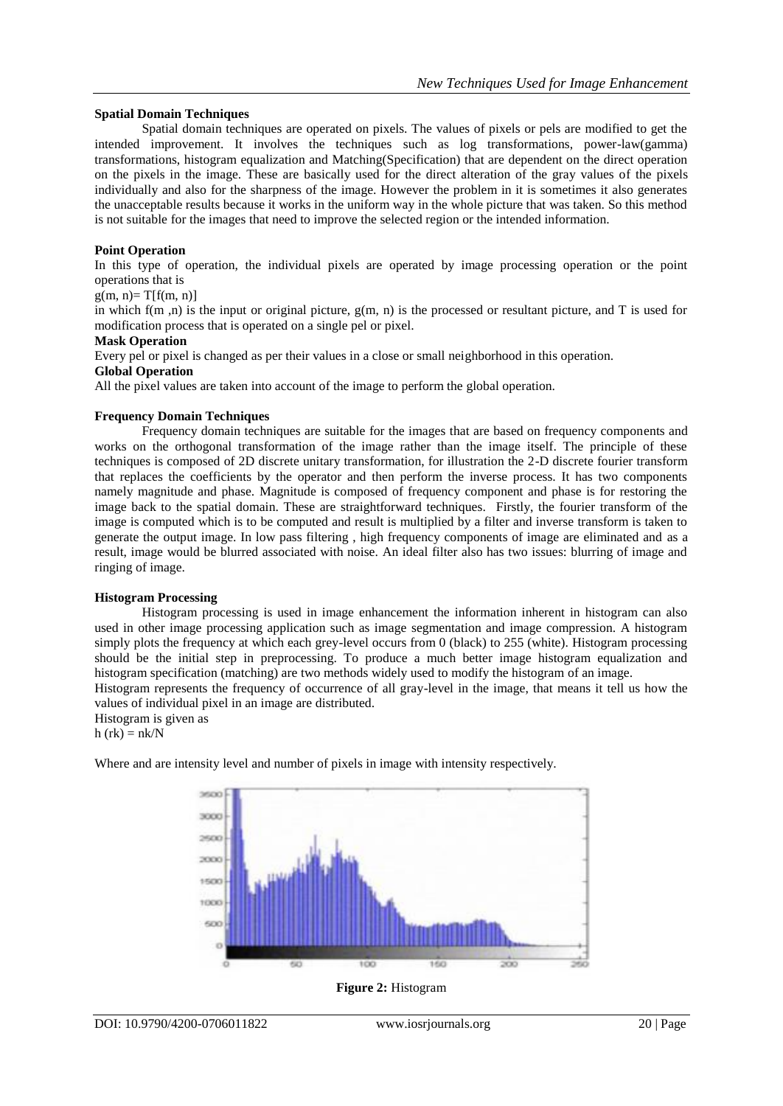## **Spatial Domain Techniques**

Spatial domain techniques are operated on pixels. The values of pixels or pels are modified to get the intended improvement. It involves the techniques such as log transformations, power-law(gamma) transformations, histogram equalization and Matching(Specification) that are dependent on the direct operation on the pixels in the image. These are basically used for the direct alteration of the gray values of the pixels individually and also for the sharpness of the image. However the problem in it is sometimes it also generates the unacceptable results because it works in the uniform way in the whole picture that was taken. So this method is not suitable for the images that need to improve the selected region or the intended information.

## **Point Operation**

In this type of operation, the individual pixels are operated by image processing operation or the point operations that is

#### $g(m, n)=T[f(m, n)]$

in which  $f(m, n)$  is the input or original picture,  $g(m, n)$  is the processed or resultant picture, and T is used for modification process that is operated on a single pel or pixel.

### **Mask Operation**

Every pel or pixel is changed as per their values in a close or small neighborhood in this operation.

#### **Global Operation**

All the pixel values are taken into account of the image to perform the global operation.

### **Frequency Domain Techniques**

Frequency domain techniques are suitable for the images that are based on frequency components and works on the orthogonal transformation of the image rather than the image itself. The principle of these techniques is composed of 2D discrete unitary transformation, for illustration the 2-D discrete fourier transform that replaces the coefficients by the operator and then perform the inverse process. It has two components namely magnitude and phase. Magnitude is composed of frequency component and phase is for restoring the image back to the spatial domain. These are straightforward techniques. Firstly, the fourier transform of the image is computed which is to be computed and result is multiplied by a filter and inverse transform is taken to generate the output image. In low pass filtering , high frequency components of image are eliminated and as a result, image would be blurred associated with noise. An ideal filter also has two issues: blurring of image and ringing of image.

### **Histogram Processing**

Histogram processing is used in image enhancement the information inherent in histogram can also used in other image processing application such as image segmentation and image compression. A histogram simply plots the frequency at which each grey-level occurs from 0 (black) to 255 (white). Histogram processing should be the initial step in preprocessing. To produce a much better image histogram equalization and histogram specification (matching) are two methods widely used to modify the histogram of an image.

Histogram represents the frequency of occurrence of all gray-level in the image, that means it tell us how the values of individual pixel in an image are distributed.

Histogram is given as

 $h$  (rk) =  $nk/N$ 

Where and are intensity level and number of pixels in image with intensity respectively.



**Figure 2:** Histogram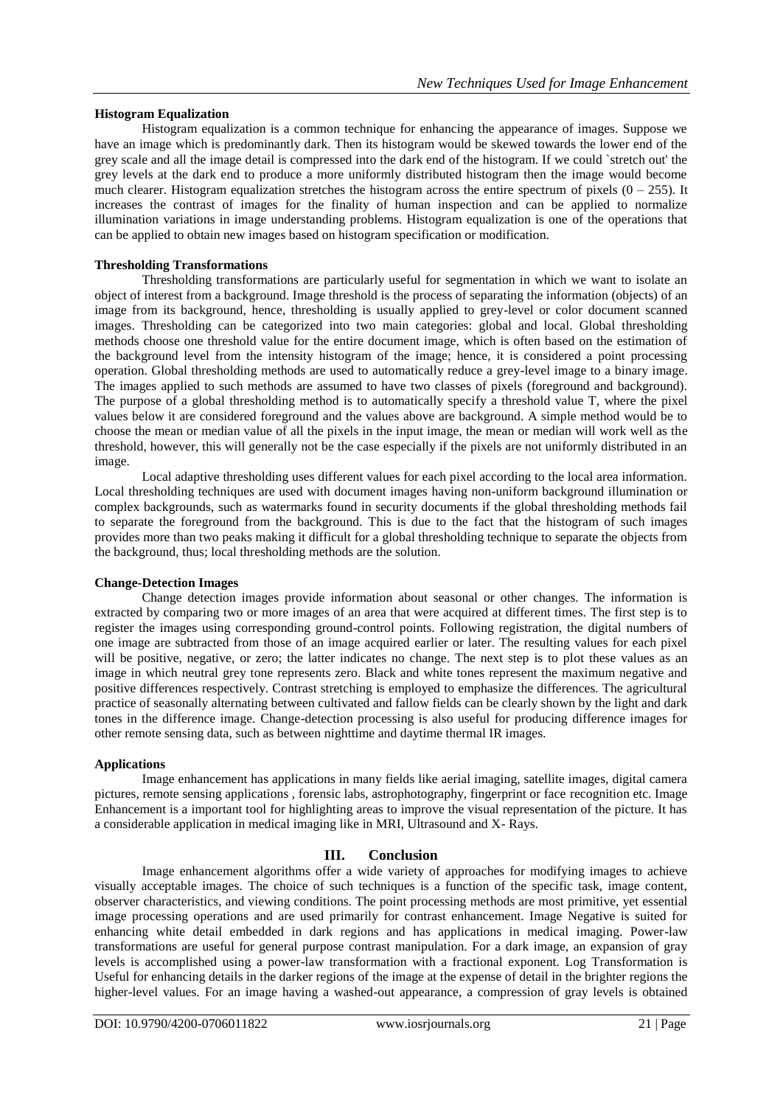## **Histogram Equalization**

Histogram equalization is a common technique for enhancing the appearance of images. Suppose we have an image which is predominantly dark. Then its histogram would be skewed towards the lower end of the grey scale and all the image detail is compressed into the dark end of the histogram. If we could `stretch out' the grey levels at the dark end to produce a more uniformly distributed histogram then the image would become much clearer. Histogram equalization stretches the histogram across the entire spectrum of pixels  $(0 - 255)$ . It increases the contrast of images for the finality of human inspection and can be applied to normalize illumination variations in image understanding problems. Histogram equalization is one of the operations that can be applied to obtain new images based on histogram specification or modification.

## **Thresholding Transformations**

Thresholding transformations are particularly useful for segmentation in which we want to isolate an object of interest from a background. Image threshold is the process of separating the information (objects) of an image from its background, hence, thresholding is usually applied to grey-level or color document scanned images. Thresholding can be categorized into two main categories: global and local. Global thresholding methods choose one threshold value for the entire document image, which is often based on the estimation of the background level from the intensity histogram of the image; hence, it is considered a point processing operation. Global thresholding methods are used to automatically reduce a grey-level image to a binary image. The images applied to such methods are assumed to have two classes of pixels (foreground and background). The purpose of a global thresholding method is to automatically specify a threshold value T, where the pixel values below it are considered foreground and the values above are background. A simple method would be to choose the mean or median value of all the pixels in the input image, the mean or median will work well as the threshold, however, this will generally not be the case especially if the pixels are not uniformly distributed in an image.

Local adaptive thresholding uses different values for each pixel according to the local area information. Local thresholding techniques are used with document images having non-uniform background illumination or complex backgrounds, such as watermarks found in security documents if the global thresholding methods fail to separate the foreground from the background. This is due to the fact that the histogram of such images provides more than two peaks making it difficult for a global thresholding technique to separate the objects from the background, thus; local thresholding methods are the solution.

### **Change-Detection Images**

Change detection images provide information about seasonal or other changes. The information is extracted by comparing two or more images of an area that were acquired at different times. The first step is to register the images using corresponding ground-control points. Following registration, the digital numbers of one image are subtracted from those of an image acquired earlier or later. The resulting values for each pixel will be positive, negative, or zero; the latter indicates no change. The next step is to plot these values as an image in which neutral grey tone represents zero. Black and white tones represent the maximum negative and positive differences respectively. Contrast stretching is employed to emphasize the differences. The agricultural practice of seasonally alternating between cultivated and fallow fields can be clearly shown by the light and dark tones in the difference image. Change-detection processing is also useful for producing difference images for other remote sensing data, such as between nighttime and daytime thermal IR images.

### **Applications**

Image enhancement has applications in many fields like aerial imaging, satellite images, digital camera pictures, remote sensing applications , forensic labs, astrophotography, fingerprint or face recognition etc. Image Enhancement is a important tool for highlighting areas to improve the visual representation of the picture. It has a considerable application in medical imaging like in MRI, Ultrasound and X- Rays.

## **III. Conclusion**

Image enhancement algorithms offer a wide variety of approaches for modifying images to achieve visually acceptable images. The choice of such techniques is a function of the specific task, image content, observer characteristics, and viewing conditions. The point processing methods are most primitive, yet essential image processing operations and are used primarily for contrast enhancement. Image Negative is suited for enhancing white detail embedded in dark regions and has applications in medical imaging. Power-law transformations are useful for general purpose contrast manipulation. For a dark image, an expansion of gray levels is accomplished using a power-law transformation with a fractional exponent. Log Transformation is Useful for enhancing details in the darker regions of the image at the expense of detail in the brighter regions the higher-level values. For an image having a washed-out appearance, a compression of gray levels is obtained